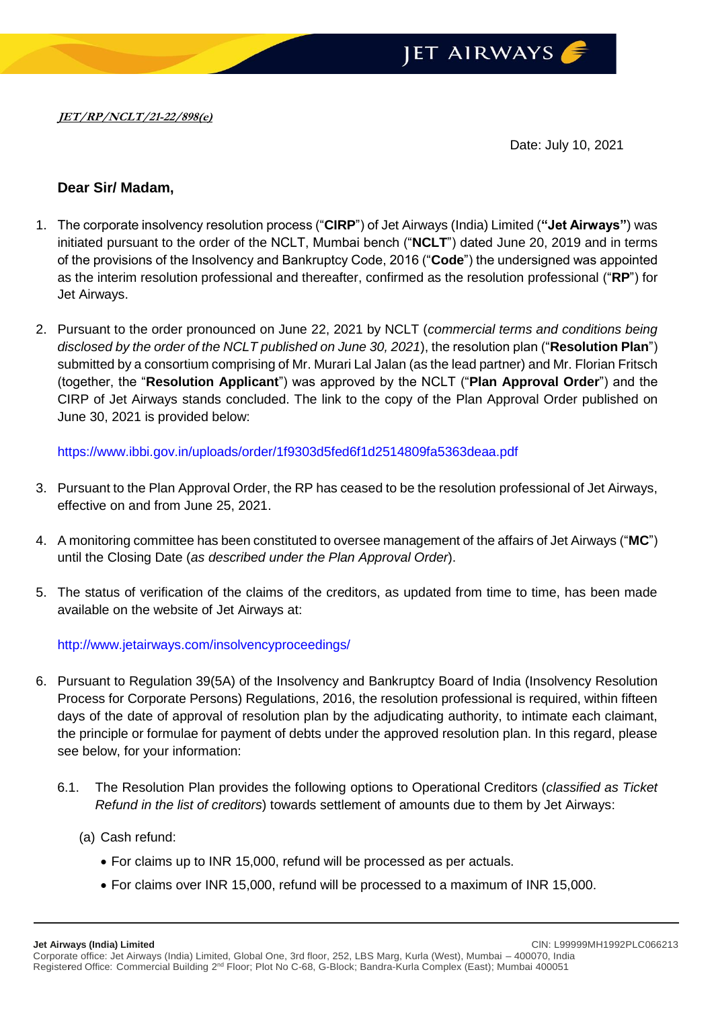

Date: July 10, 2021

## **Dear Sir/ Madam,**

- 1. The corporate insolvency resolution process ("**CIRP**") of Jet Airways (India) Limited (**"Jet Airways"**) was initiated pursuant to the order of the NCLT, Mumbai bench ("**NCLT**") dated June 20, 2019 and in terms of the provisions of the Insolvency and Bankruptcy Code, 2016 ("**Code**") the undersigned was appointed as the interim resolution professional and thereafter, confirmed as the resolution professional ("**RP**") for Jet Airways.
- 2. Pursuant to the order pronounced on June 22, 2021 by NCLT (*commercial terms and conditions being disclosed by the order of the NCLT published on June 30, 2021*), the resolution plan ("**Resolution Plan**") submitted by a consortium comprising of Mr. Murari Lal Jalan (as the lead partner) and Mr. Florian Fritsch (together, the "**Resolution Applicant**") was approved by the NCLT ("**Plan Approval Order**") and the CIRP of Jet Airways stands concluded. The link to the copy of the Plan Approval Order published on June 30, 2021 is provided below:

<https://www.ibbi.gov.in/uploads/order/1f9303d5fed6f1d2514809fa5363deaa.pdf>

- 3. Pursuant to the Plan Approval Order, the RP has ceased to be the resolution professional of Jet Airways, effective on and from June 25, 2021.
- 4. A monitoring committee has been constituted to oversee management of the affairs of Jet Airways ("**MC**") until the Closing Date (*as described under the Plan Approval Order*).
- 5. The status of verification of the claims of the creditors, as updated from time to time, has been made available on the website of Jet Airways at:

<http://www.jetairways.com/insolvencyproceedings/>

- 6. Pursuant to Regulation 39(5A) of the Insolvency and Bankruptcy Board of India (Insolvency Resolution Process for Corporate Persons) Regulations, 2016, the resolution professional is required, within fifteen days of the date of approval of resolution plan by the adjudicating authority, to intimate each claimant, the principle or formulae for payment of debts under the approved resolution plan. In this regard, please see below, for your information:
	- 6.1. The Resolution Plan provides the following options to Operational Creditors (*classified as Ticket Refund in the list of creditors*) towards settlement of amounts due to them by Jet Airways:
		- (a) Cash refund:
			- For claims up to INR 15,000, refund will be processed as per actuals.
			- For claims over INR 15,000, refund will be processed to a maximum of INR 15,000.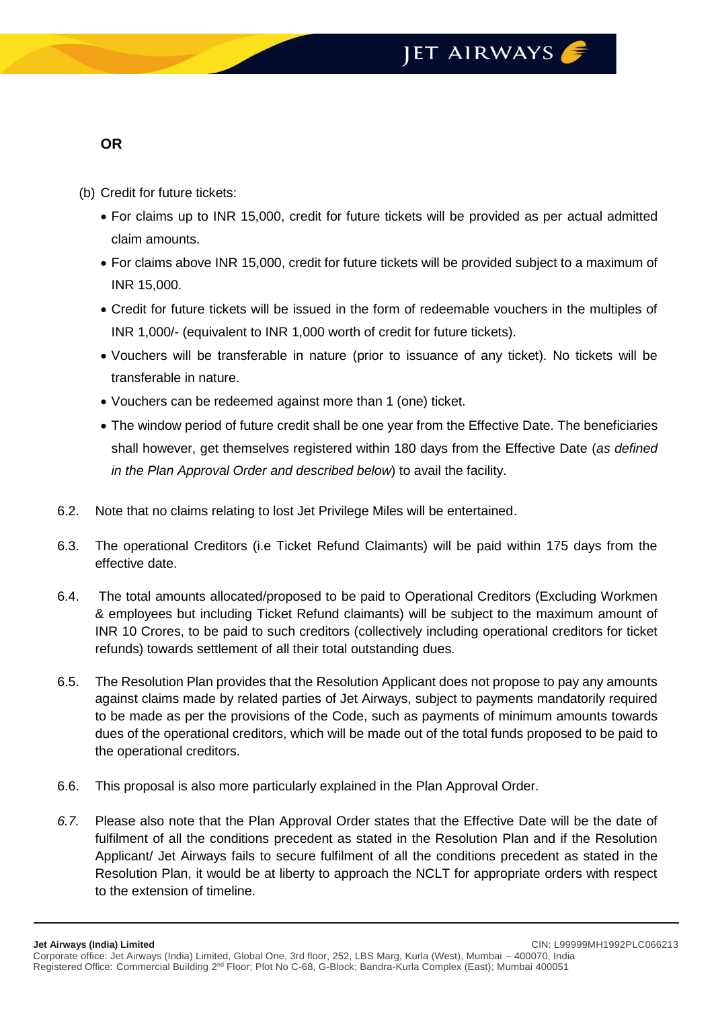## JET AIRWAYS

## **OR**

- (b) Credit for future tickets:
	- For claims up to INR 15,000, credit for future tickets will be provided as per actual admitted claim amounts.
	- For claims above INR 15,000, credit for future tickets will be provided subject to a maximum of INR 15,000.
	- Credit for future tickets will be issued in the form of redeemable vouchers in the multiples of INR 1,000/- (equivalent to INR 1,000 worth of credit for future tickets).
	- Vouchers will be transferable in nature (prior to issuance of any ticket). No tickets will be transferable in nature.
	- Vouchers can be redeemed against more than 1 (one) ticket.
	- The window period of future credit shall be one year from the Effective Date. The beneficiaries shall however, get themselves registered within 180 days from the Effective Date (*as defined in the Plan Approval Order and described below*) to avail the facility.
- 6.2. Note that no claims relating to lost Jet Privilege Miles will be entertained.
- 6.3. The operational Creditors (i.e Ticket Refund Claimants) will be paid within 175 days from the effective date.
- 6.4. The total amounts allocated/proposed to be paid to Operational Creditors (Excluding Workmen & employees but including Ticket Refund claimants) will be subject to the maximum amount of INR 10 Crores, to be paid to such creditors (collectively including operational creditors for ticket refunds) towards settlement of all their total outstanding dues.
- 6.5. The Resolution Plan provides that the Resolution Applicant does not propose to pay any amounts against claims made by related parties of Jet Airways, subject to payments mandatorily required to be made as per the provisions of the Code, such as payments of minimum amounts towards dues of the operational creditors, which will be made out of the total funds proposed to be paid to the operational creditors.
- 6.6. This proposal is also more particularly explained in the Plan Approval Order.
- *6.7.* Please also note that the Plan Approval Order states that the Effective Date will be the date of fulfilment of all the conditions precedent as stated in the Resolution Plan and if the Resolution Applicant/ Jet Airways fails to secure fulfilment of all the conditions precedent as stated in the Resolution Plan, it would be at liberty to approach the NCLT for appropriate orders with respect to the extension of timeline.